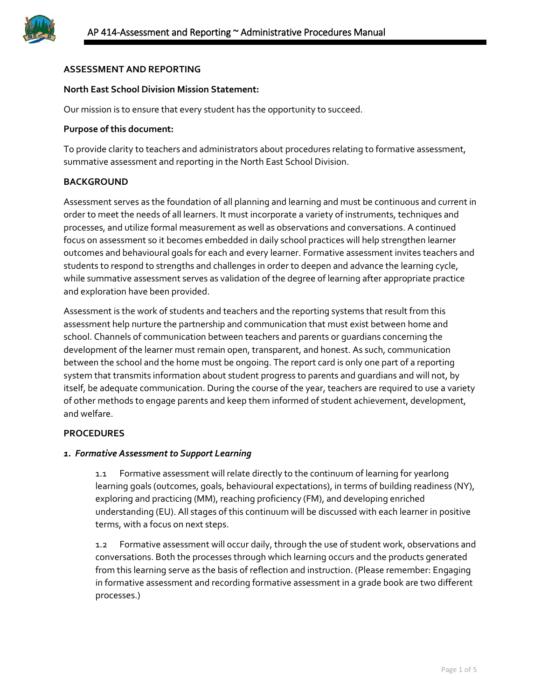

# **ASSESSMENT AND REPORTING**

## **North East School Division Mission Statement:**

Our mission is to ensure that every student has the opportunity to succeed.

## **Purpose of this document:**

To provide clarity to teachers and administrators about procedures relating to formative assessment, summative assessment and reporting in the North East School Division.

## **BACKGROUND**

Assessment serves as the foundation of all planning and learning and must be continuous and current in order to meet the needs of all learners. It must incorporate a variety of instruments, techniques and processes, and utilize formal measurement as well as observations and conversations. A continued focus on assessment so it becomes embedded in daily school practices will help strengthen learner outcomes and behavioural goals for each and every learner. Formative assessment invites teachers and students to respond to strengths and challenges in order to deepen and advance the learning cycle, while summative assessment serves as validation of the degree of learning after appropriate practice and exploration have been provided.

Assessment is the work of students and teachers and the reporting systems that result from this assessment help nurture the partnership and communication that must exist between home and school. Channels of communication between teachers and parents or guardians concerning the development of the learner must remain open, transparent, and honest. As such, communication between the school and the home must be ongoing. The report card is only one part of a reporting system that transmits information about student progress to parents and guardians and will not, by itself, be adequate communication. During the course of the year, teachers are required to use a variety of other methods to engage parents and keep them informed of student achievement, development, and welfare.

#### **PROCEDURES**

#### *1. Formative Assessment to Support Learning*

1.1 Formative assessment will relate directly to the continuum of learning for yearlong learning goals (outcomes, goals, behavioural expectations), in terms of building readiness (NY), exploring and practicing (MM), reaching proficiency (FM), and developing enriched understanding (EU). All stages of this continuum will be discussed with each learner in positive terms, with a focus on next steps.

1.2 Formative assessment will occur daily, through the use of student work, observations and conversations. Both the processes through which learning occurs and the products generated from this learning serve as the basis of reflection and instruction. (Please remember: Engaging in formative assessment and recording formative assessment in a grade book are two different processes.)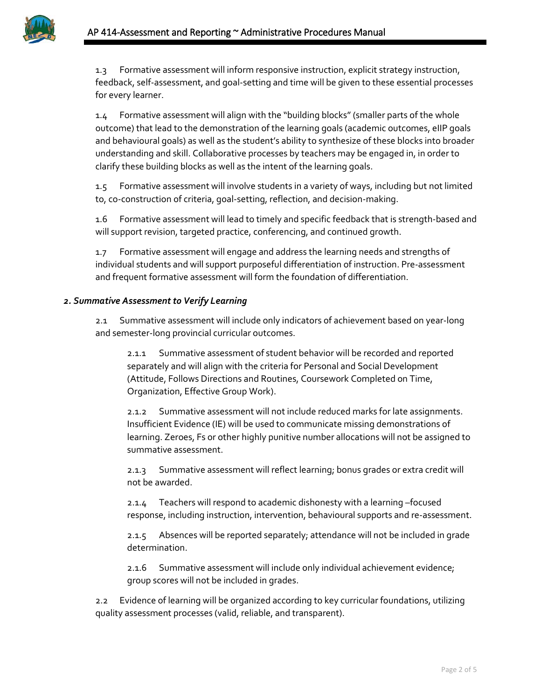1.3 Formative assessment will inform responsive instruction, explicit strategy instruction, feedback, self-assessment, and goal-setting and time will be given to these essential processes for every learner.

1.4 Formative assessment will align with the "building blocks" (smaller parts of the whole outcome) that lead to the demonstration of the learning goals (academic outcomes, eIIP goals and behavioural goals) as well as the student's ability to synthesize of these blocks into broader understanding and skill. Collaborative processes by teachers may be engaged in, in order to clarify these building blocks as well as the intent of the learning goals.

1.5 Formative assessment will involve students in a variety of ways, including but not limited to, co-construction of criteria, goal-setting, reflection, and decision-making.

1.6 Formative assessment will lead to timely and specific feedback that is strength-based and will support revision, targeted practice, conferencing, and continued growth.

1.7 Formative assessment will engage and address the learning needs and strengths of individual students and will support purposeful differentiation of instruction. Pre-assessment and frequent formative assessment will form the foundation of differentiation.

## *2. Summative Assessment to Verify Learning*

2.1 Summative assessment will include only indicators of achievement based on year-long and semester-long provincial curricular outcomes.

2.1.1 Summative assessment of student behavior will be recorded and reported separately and will align with the criteria for Personal and Social Development (Attitude, Follows Directions and Routines, Coursework Completed on Time, Organization, Effective Group Work).

2.1.2 Summative assessment will not include reduced marks for late assignments. Insufficient Evidence (IE) will be used to communicate missing demonstrations of learning. Zeroes, Fs or other highly punitive number allocations will not be assigned to summative assessment.

2.1.3 Summative assessment will reflect learning; bonus grades or extra credit will not be awarded.

2.1.4 Teachers will respond to academic dishonesty with a learning –focused response, including instruction, intervention, behavioural supports and re-assessment.

2.1.5 Absences will be reported separately; attendance will not be included in grade determination.

2.1.6 Summative assessment will include only individual achievement evidence; group scores will not be included in grades.

2.2 Evidence of learning will be organized according to key curricular foundations, utilizing quality assessment processes (valid, reliable, and transparent).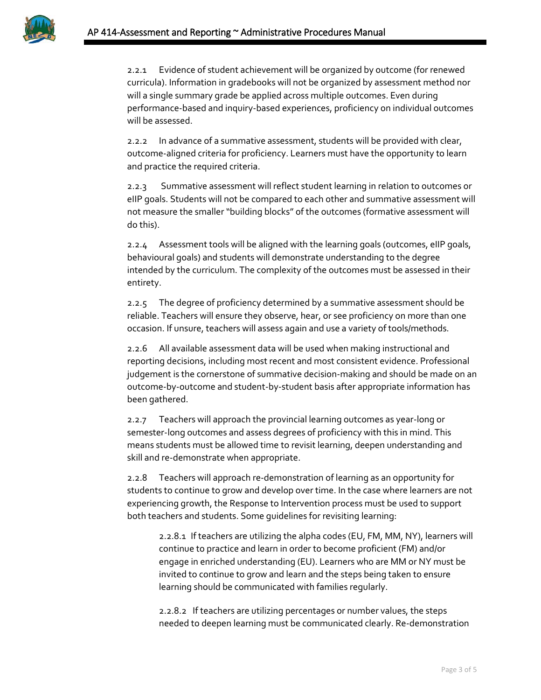

2.2.1 Evidence of student achievement will be organized by outcome (for renewed curricula). Information in gradebooks will not be organized by assessment method nor will a single summary grade be applied across multiple outcomes. Even during performance-based and inquiry-based experiences, proficiency on individual outcomes will be assessed.

2.2.2 In advance of a summative assessment, students will be provided with clear, outcome-aligned criteria for proficiency. Learners must have the opportunity to learn and practice the required criteria.

2.2.3 Summative assessment will reflect student learning in relation to outcomes or eIIP goals. Students will not be compared to each other and summative assessment will not measure the smaller "building blocks" of the outcomes (formative assessment will do this).

2.2.4 Assessment tools will be aligned with the learning goals (outcomes, eIIP goals, behavioural goals) and students will demonstrate understanding to the degree intended by the curriculum. The complexity of the outcomes must be assessed in their entirety.

2.2.5 The degree of proficiency determined by a summative assessment should be reliable. Teachers will ensure they observe, hear, or see proficiency on more than one occasion. If unsure, teachers will assess again and use a variety of tools/methods.

2.2.6 All available assessment data will be used when making instructional and reporting decisions, including most recent and most consistent evidence. Professional judgement is the cornerstone of summative decision-making and should be made on an outcome-by-outcome and student-by-student basis after appropriate information has been gathered.

2.2.7 Teachers will approach the provincial learning outcomes as year-long or semester-long outcomes and assess degrees of proficiency with this in mind. This means students must be allowed time to revisit learning, deepen understanding and skill and re-demonstrate when appropriate.

2.2.8 Teachers will approach re-demonstration of learning as an opportunity for students to continue to grow and develop over time. In the case where learners are not experiencing growth, the Response to Intervention process must be used to support both teachers and students. Some guidelines for revisiting learning:

2.2.8.1 If teachers are utilizing the alpha codes (EU, FM, MM, NY), learners will continue to practice and learn in order to become proficient (FM) and/or engage in enriched understanding (EU). Learners who are MM or NY must be invited to continue to grow and learn and the steps being taken to ensure learning should be communicated with families regularly.

2.2.8.2 If teachers are utilizing percentages or number values, the steps needed to deepen learning must be communicated clearly. Re-demonstration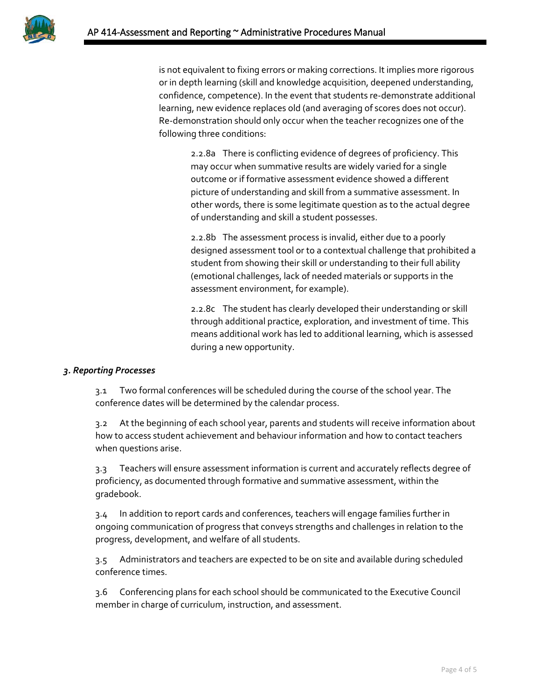

is not equivalent to fixing errors or making corrections. It implies more rigorous or in depth learning (skill and knowledge acquisition, deepened understanding, confidence, competence). In the event that students re-demonstrate additional learning, new evidence replaces old (and averaging of scores does not occur). Re-demonstration should only occur when the teacher recognizes one of the following three conditions:

> 2.2.8a There is conflicting evidence of degrees of proficiency. This may occur when summative results are widely varied for a single outcome or if formative assessment evidence showed a different picture of understanding and skill from a summative assessment. In other words, there is some legitimate question as to the actual degree of understanding and skill a student possesses.

2.2.8b The assessment process is invalid, either due to a poorly designed assessment tool or to a contextual challenge that prohibited a student from showing their skill or understanding to their full ability (emotional challenges, lack of needed materials or supports in the assessment environment, for example).

2.2.8c The student has clearly developed their understanding or skill through additional practice, exploration, and investment of time. This means additional work has led to additional learning, which is assessed during a new opportunity.

# *3. Reporting Processes*

3.1 Two formal conferences will be scheduled during the course of the school year. The conference dates will be determined by the calendar process.

3.2 At the beginning of each school year, parents and students will receive information about how to access student achievement and behaviour information and how to contact teachers when questions arise.

3.3 Teachers will ensure assessment information is current and accurately reflects degree of proficiency, as documented through formative and summative assessment, within the gradebook.

3.4 In addition to report cards and conferences, teachers will engage families further in ongoing communication of progress that conveys strengths and challenges in relation to the progress, development, and welfare of all students.

3.5 Administrators and teachers are expected to be on site and available during scheduled conference times.

3.6 Conferencing plans for each school should be communicated to the Executive Council member in charge of curriculum, instruction, and assessment.